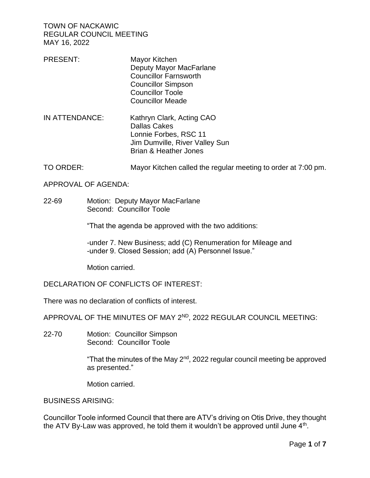- PRESENT: Mayor Kitchen Deputy Mayor MacFarlane Councillor Farnsworth Councillor Simpson Councillor Toole Councillor Meade
- IN ATTENDANCE: Kathryn Clark, Acting CAO Dallas Cakes Lonnie Forbes, RSC 11 Jim Dumville, River Valley Sun Brian & Heather Jones
- TO ORDER: Mayor Kitchen called the regular meeting to order at 7:00 pm.

APPROVAL OF AGENDA:

22-69 Motion: Deputy Mayor MacFarlane Second: Councillor Toole

"That the agenda be approved with the two additions:

-under 7. New Business; add (C) Renumeration for Mileage and -under 9. Closed Session; add (A) Personnel Issue."

Motion carried.

DECLARATION OF CONFLICTS OF INTEREST:

There was no declaration of conflicts of interest.

APPROVAL OF THE MINUTES OF MAY 2ND, 2022 REGULAR COUNCIL MEETING:

22-70 Motion: Councillor Simpson Second: Councillor Toole

> "That the minutes of the May 2<sup>nd</sup>, 2022 regular council meeting be approved as presented."

Motion carried.

BUSINESS ARISING:

Councillor Toole informed Council that there are ATV's driving on Otis Drive, they thought the ATV By-Law was approved, he told them it wouldn't be approved until June 4<sup>th</sup>.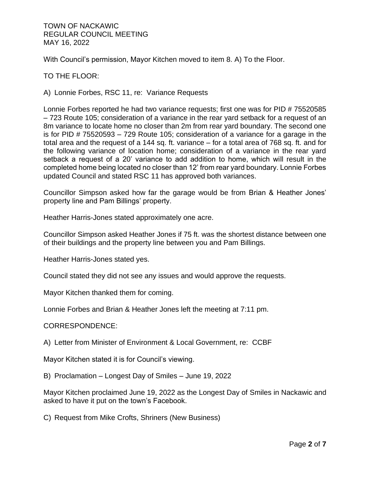With Council's permission, Mayor Kitchen moved to item 8. A) To the Floor.

# TO THE FLOOR:

A) Lonnie Forbes, RSC 11, re: Variance Requests

Lonnie Forbes reported he had two variance requests; first one was for PID # 75520585 – 723 Route 105; consideration of a variance in the rear yard setback for a request of an 8m variance to locate home no closer than 2m from rear yard boundary. The second one is for PID # 75520593 – 729 Route 105; consideration of a variance for a garage in the total area and the request of a 144 sq. ft. variance – for a total area of 768 sq. ft. and for the following variance of location home; consideration of a variance in the rear yard setback a request of a 20' variance to add addition to home, which will result in the completed home being located no closer than 12' from rear yard boundary. Lonnie Forbes updated Council and stated RSC 11 has approved both variances.

Councillor Simpson asked how far the garage would be from Brian & Heather Jones' property line and Pam Billings' property.

Heather Harris-Jones stated approximately one acre.

Councillor Simpson asked Heather Jones if 75 ft. was the shortest distance between one of their buildings and the property line between you and Pam Billings.

Heather Harris-Jones stated yes.

Council stated they did not see any issues and would approve the requests.

Mayor Kitchen thanked them for coming.

Lonnie Forbes and Brian & Heather Jones left the meeting at 7:11 pm.

CORRESPONDENCE:

A) Letter from Minister of Environment & Local Government, re: CCBF

Mayor Kitchen stated it is for Council's viewing.

B) Proclamation – Longest Day of Smiles – June 19, 2022

Mayor Kitchen proclaimed June 19, 2022 as the Longest Day of Smiles in Nackawic and asked to have it put on the town's Facebook.

C) Request from Mike Crofts, Shriners (New Business)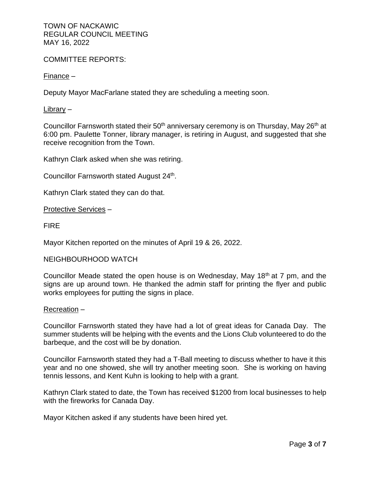COMMITTEE REPORTS:

Finance –

Deputy Mayor MacFarlane stated they are scheduling a meeting soon.

Library –

Councillor Farnsworth stated their  $50<sup>th</sup>$  anniversary ceremony is on Thursday, May  $26<sup>th</sup>$  at 6:00 pm. Paulette Tonner, library manager, is retiring in August, and suggested that she receive recognition from the Town.

Kathryn Clark asked when she was retiring.

Councillor Farnsworth stated August 24<sup>th</sup>.

Kathryn Clark stated they can do that.

Protective Services –

FIRE

Mayor Kitchen reported on the minutes of April 19 & 26, 2022.

### NEIGHBOURHOOD WATCH

Councillor Meade stated the open house is on Wednesday, May 18th at 7 pm, and the signs are up around town. He thanked the admin staff for printing the flyer and public works employees for putting the signs in place.

### Recreation –

Councillor Farnsworth stated they have had a lot of great ideas for Canada Day. The summer students will be helping with the events and the Lions Club volunteered to do the barbeque, and the cost will be by donation.

Councillor Farnsworth stated they had a T-Ball meeting to discuss whether to have it this year and no one showed, she will try another meeting soon. She is working on having tennis lessons, and Kent Kuhn is looking to help with a grant.

Kathryn Clark stated to date, the Town has received \$1200 from local businesses to help with the fireworks for Canada Day.

Mayor Kitchen asked if any students have been hired yet.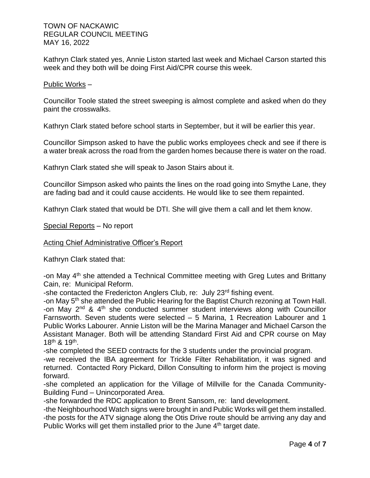Kathryn Clark stated yes, Annie Liston started last week and Michael Carson started this week and they both will be doing First Aid/CPR course this week.

Public Works –

Councillor Toole stated the street sweeping is almost complete and asked when do they paint the crosswalks.

Kathryn Clark stated before school starts in September, but it will be earlier this year.

Councillor Simpson asked to have the public works employees check and see if there is a water break across the road from the garden homes because there is water on the road.

Kathryn Clark stated she will speak to Jason Stairs about it.

Councillor Simpson asked who paints the lines on the road going into Smythe Lane, they are fading bad and it could cause accidents. He would like to see them repainted.

Kathryn Clark stated that would be DTI. She will give them a call and let them know.

Special Reports – No report

Acting Chief Administrative Officer's Report

Kathryn Clark stated that:

-on May 4<sup>th</sup> she attended a Technical Committee meeting with Greg Lutes and Brittany Cain, re: Municipal Reform.

-she contacted the Fredericton Anglers Club, re: July 23<sup>rd</sup> fishing event.

-on May 5<sup>th</sup> she attended the Public Hearing for the Baptist Church rezoning at Town Hall. -on May  $2^{nd}$  &  $4^{th}$  she conducted summer student interviews along with Councillor Farnsworth. Seven students were selected – 5 Marina, 1 Recreation Labourer and 1 Public Works Labourer. Annie Liston will be the Marina Manager and Michael Carson the Assistant Manager. Both will be attending Standard First Aid and CPR course on May 18th & 19th .

-she completed the SEED contracts for the 3 students under the provincial program.

-we received the IBA agreement for Trickle Filter Rehabilitation, it was signed and returned. Contacted Rory Pickard, Dillon Consulting to inform him the project is moving forward.

-she completed an application for the Village of Millville for the Canada Community-Building Fund – Unincorporated Area.

-she forwarded the RDC application to Brent Sansom, re: land development.

-the Neighbourhood Watch signs were brought in and Public Works will get them installed. -the posts for the ATV signage along the Otis Drive route should be arriving any day and Public Works will get them installed prior to the June 4<sup>th</sup> target date.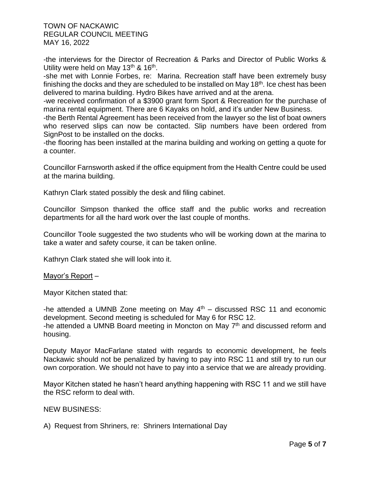-the interviews for the Director of Recreation & Parks and Director of Public Works & Utility were held on May 13<sup>th</sup> & 16<sup>th</sup>.

-she met with Lonnie Forbes, re: Marina. Recreation staff have been extremely busy finishing the docks and they are scheduled to be installed on May  $18<sup>th</sup>$ . Ice chest has been delivered to marina building. Hydro Bikes have arrived and at the arena.

-we received confirmation of a \$3900 grant form Sport & Recreation for the purchase of marina rental equipment. There are 6 Kayaks on hold, and it's under New Business.

-the Berth Rental Agreement has been received from the lawyer so the list of boat owners who reserved slips can now be contacted. Slip numbers have been ordered from SignPost to be installed on the docks.

-the flooring has been installed at the marina building and working on getting a quote for a counter.

Councillor Farnsworth asked if the office equipment from the Health Centre could be used at the marina building.

Kathryn Clark stated possibly the desk and filing cabinet.

Councillor Simpson thanked the office staff and the public works and recreation departments for all the hard work over the last couple of months.

Councillor Toole suggested the two students who will be working down at the marina to take a water and safety course, it can be taken online.

Kathryn Clark stated she will look into it.

## Mayor's Report –

Mayor Kitchen stated that:

-he attended a UMNB Zone meeting on May  $4<sup>th</sup>$  – discussed RSC 11 and economic development. Second meeting is scheduled for May 6 for RSC 12. -he attended a UMNB Board meeting in Moncton on May  $7<sup>th</sup>$  and discussed reform and housing.

Deputy Mayor MacFarlane stated with regards to economic development, he feels Nackawic should not be penalized by having to pay into RSC 11 and still try to run our own corporation. We should not have to pay into a service that we are already providing.

Mayor Kitchen stated he hasn't heard anything happening with RSC 11 and we still have the RSC reform to deal with.

NEW BUSINESS:

A) Request from Shriners, re: Shriners International Day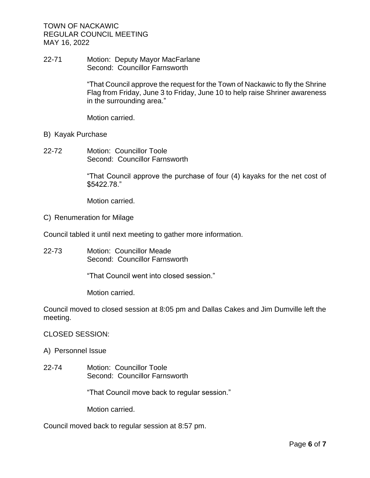22-71 Motion: Deputy Mayor MacFarlane Second: Councillor Farnsworth

> "That Council approve the request for the Town of Nackawic to fly the Shrine Flag from Friday, June 3 to Friday, June 10 to help raise Shriner awareness in the surrounding area."

Motion carried.

- B) Kayak Purchase
- 22-72 Motion: Councillor Toole Second: Councillor Farnsworth

"That Council approve the purchase of four (4) kayaks for the net cost of \$5422.78."

Motion carried.

C) Renumeration for Milage

Council tabled it until next meeting to gather more information.

22-73 Motion: Councillor Meade Second: Councillor Farnsworth

"That Council went into closed session."

Motion carried.

Council moved to closed session at 8:05 pm and Dallas Cakes and Jim Dumville left the meeting.

## CLOSED SESSION:

- A) Personnel Issue
- 22-74 Motion: Councillor Toole Second: Councillor Farnsworth

"That Council move back to regular session."

Motion carried.

Council moved back to regular session at 8:57 pm.